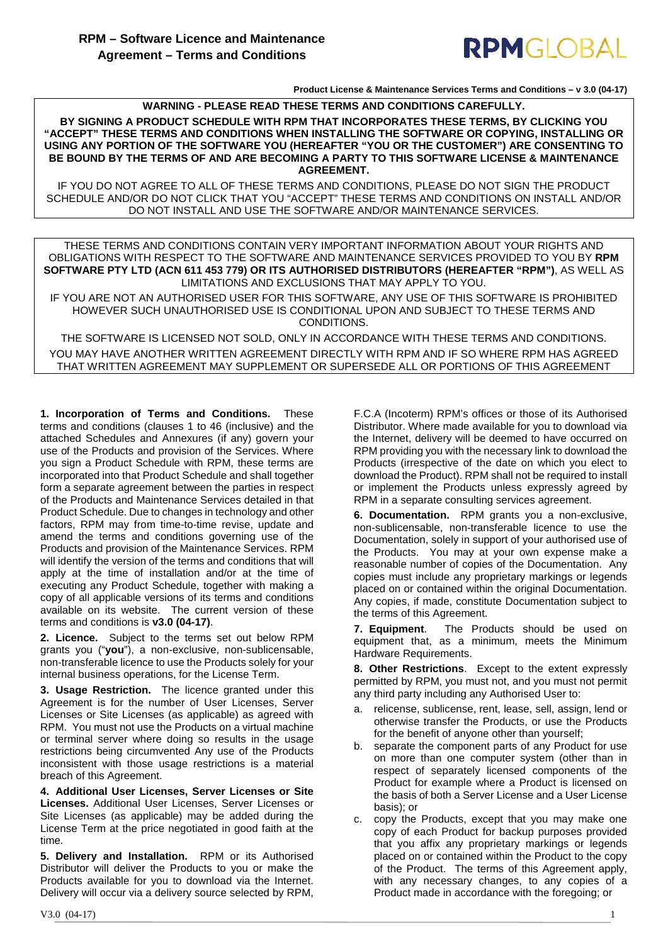### RPMGLOBAL

**Product License & Maintenance Services Terms and Conditions – v 3.0 (04-17)**

**WARNING - PLEASE READ THESE TERMS AND CONDITIONS CAREFULLY.** 

**BY SIGNING A PRODUCT SCHEDULE WITH RPM THAT INCORPORATES THESE TERMS, BY CLICKING YOU "ACCEPT" THESE TERMS AND CONDITIONS WHEN INSTALLING THE SOFTWARE OR COPYING, INSTALLING OR USING ANY PORTION OF THE SOFTWARE YOU (HEREAFTER "YOU OR THE CUSTOMER") ARE CONSENTING TO BE BOUND BY THE TERMS OF AND ARE BECOMING A PARTY TO THIS SOFTWARE LICENSE & MAINTENANCE AGREEMENT.**

IF YOU DO NOT AGREE TO ALL OF THESE TERMS AND CONDITIONS, PLEASE DO NOT SIGN THE PRODUCT SCHEDULE AND/OR DO NOT CLICK THAT YOU "ACCEPT" THESE TERMS AND CONDITIONS ON INSTALL AND/OR DO NOT INSTALL AND USE THE SOFTWARE AND/OR MAINTENANCE SERVICES.

THESE TERMS AND CONDITIONS CONTAIN VERY IMPORTANT INFORMATION ABOUT YOUR RIGHTS AND OBLIGATIONS WITH RESPECT TO THE SOFTWARE AND MAINTENANCE SERVICES PROVIDED TO YOU BY **RPM SOFTWARE PTY LTD (ACN 611 453 779) OR ITS AUTHORISED DISTRIBUTORS (HEREAFTER "RPM")**, AS WELL AS LIMITATIONS AND EXCLUSIONS THAT MAY APPLY TO YOU.

IF YOU ARE NOT AN AUTHORISED USER FOR THIS SOFTWARE, ANY USE OF THIS SOFTWARE IS PROHIBITED HOWEVER SUCH UNAUTHORISED USE IS CONDITIONAL UPON AND SUBJECT TO THESE TERMS AND CONDITIONS.

THE SOFTWARE IS LICENSED NOT SOLD, ONLY IN ACCORDANCE WITH THESE TERMS AND CONDITIONS. YOU MAY HAVE ANOTHER WRITTEN AGREEMENT DIRECTLY WITH RPM AND IF SO WHERE RPM HAS AGREED THAT WRITTEN AGREEMENT MAY SUPPLEMENT OR SUPERSEDE ALL OR PORTIONS OF THIS AGREEMENT

<span id="page-0-0"></span>**1. Incorporation of Terms and Conditions.** These terms and conditions (clauses 1 to [46](#page-5-0) (inclusive) and the attached Schedules and Annexures (if any) govern your use of the Products and provision of the Services. Where you sign a Product Schedule with RPM, these terms are incorporated into that Product Schedule and shall together form a separate agreement between the parties in respect of the Products and Maintenance Services detailed in that Product Schedule. Due to changes in technology and other factors, RPM may from time-to-time revise, update and amend the terms and conditions governing use of the Products and provision of the Maintenance Services. RPM will identify the version of the terms and conditions that will apply at the time of installation and/or at the time of executing any Product Schedule, together with making a copy of all applicable versions of its terms and conditions available on its website. The current version of these terms and conditions is **v3.0 (04-17)**.

**2. Licence.** Subject to the terms set out below RPM grants you ("**you**"), a non-exclusive, non-sublicensable, non-transferable licence to use the Products solely for your internal business operations, for the License Term.

**3. Usage Restriction.** The licence granted under this Agreement is for the number of User Licenses, Server Licenses or Site Licenses (as applicable) as agreed with RPM. You must not use the Products on a virtual machine or terminal server where doing so results in the usage restrictions being circumvented Any use of the Products inconsistent with those usage restrictions is a material breach of this Agreement.

**4. Additional User Licenses, Server Licenses or Site Licenses.** Additional User Licenses, Server Licenses or Site Licenses (as applicable) may be added during the License Term at the price negotiated in good faith at the time.

**5. Delivery and Installation.** RPM or its Authorised Distributor will deliver the Products to you or make the Products available for you to download via the Internet. Delivery will occur via a delivery source selected by RPM,

F.C.A (Incoterm) RPM's offices or those of its Authorised Distributor. Where made available for you to download via the Internet, delivery will be deemed to have occurred on RPM providing you with the necessary link to download the Products (irrespective of the date on which you elect to download the Product). RPM shall not be required to install or implement the Products unless expressly agreed by RPM in a separate consulting services agreement.

**6. Documentation.** RPM grants you a non-exclusive, non-sublicensable, non-transferable licence to use the Documentation, solely in support of your authorised use of the Products. You may at your own expense make a reasonable number of copies of the Documentation. Any copies must include any proprietary markings or legends placed on or contained within the original Documentation. Any copies, if made, constitute Documentation subject to the terms of this Agreement.

**7. Equipment**. The Products should be used on equipment that, as a minimum, meets the Minimum Hardware Requirements.

**8. Other Restrictions**. Except to the extent expressly permitted by RPM, you must not, and you must not permit any third party including any Authorised User to:

- a. relicense, sublicense, rent, lease, sell, assign, lend or otherwise transfer the Products, or use the Products for the benefit of anyone other than yourself;
- b. separate the component parts of any Product for use on more than one computer system (other than in respect of separately licensed components of the Product for example where a Product is licensed on the basis of both a Server License and a User License basis); or
- c. copy the Products, except that you may make one copy of each Product for backup purposes provided that you affix any proprietary markings or legends placed on or contained within the Product to the copy of the Product. The terms of this Agreement apply, with any necessary changes, to any copies of a Product made in accordance with the foregoing; or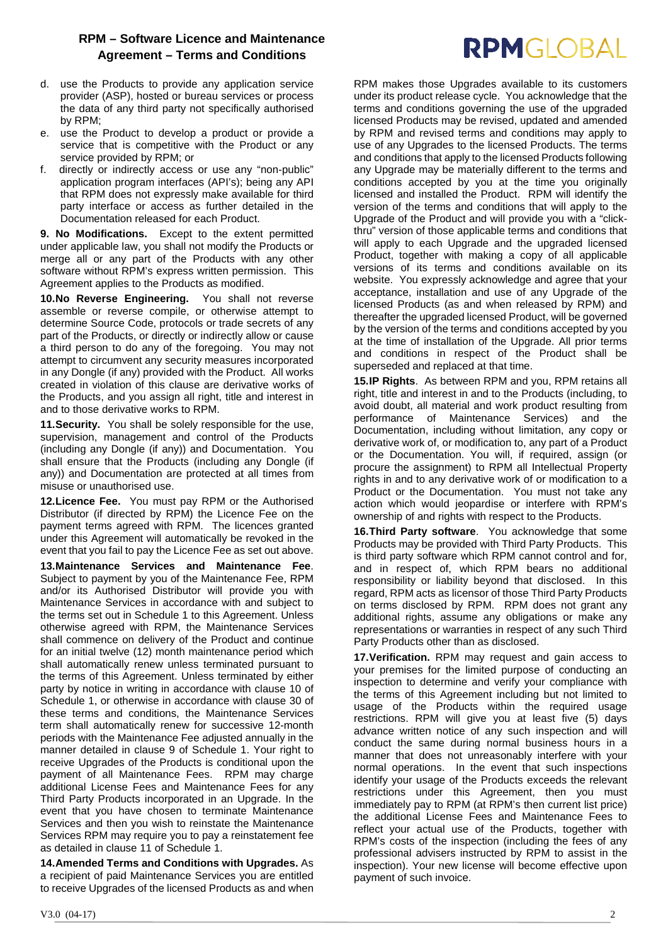- d. use the Products to provide any application service provider (ASP), hosted or bureau services or process the data of any third party not specifically authorised by RPM;
- e. use the Product to develop a product or provide a service that is competitive with the Product or any service provided by RPM; or
- f. directly or indirectly access or use any "non-public" application program interfaces (API's); being any API that RPM does not expressly make available for third party interface or access as further detailed in the Documentation released for each Product.

<span id="page-1-0"></span>**9. No Modifications.** Except to the extent permitted under applicable law, you shall not modify the Products or merge all or any part of the Products with any other software without RPM's express written permission. This Agreement applies to the Products as modified.

**10.No Reverse Engineering.** You shall not reverse assemble or reverse compile, or otherwise attempt to determine Source Code, protocols or trade secrets of any part of the Products, or directly or indirectly allow or cause a third person to do any of the foregoing. You may not attempt to circumvent any security measures incorporated in any Dongle (if any) provided with the Product. All works created in violation of this clause are derivative works of the Products, and you assign all right, title and interest in and to those derivative works to RPM.

**11.Security.** You shall be solely responsible for the use, supervision, management and control of the Products (including any Dongle (if any)) and Documentation. You shall ensure that the Products (including any Dongle (if any)) and Documentation are protected at all times from misuse or unauthorised use.

**12.Licence Fee.** You must pay RPM or the Authorised Distributor (if directed by RPM) the Licence Fee on the payment terms agreed with RPM. The licences granted under this Agreement will automatically be revoked in the event that you fail to pay the Licence Fee as set out above.

**13.Maintenance Services and Maintenance Fee**. Subject to payment by you of the Maintenance Fee, RPM and/or its Authorised Distributor will provide you with Maintenance Services in accordance with and subject to the terms set out in Schedule 1 to this Agreement. Unless otherwise agreed with RPM, the Maintenance Services shall commence on delivery of the Product and continue for an initial twelve (12) month maintenance period which shall automatically renew unless terminated pursuant to the terms of this Agreement. Unless terminated by either party by notice in writing in accordance with clause 10 of Schedule 1, or otherwise in accordance with clause [30](#page-2-0) of these terms and conditions, the Maintenance Services term shall automatically renew for successive 12-month periods with the Maintenance Fee adjusted annually in the manner detailed in clause 9 of Schedule 1. Your right to receive Upgrades of the Products is conditional upon the payment of all Maintenance Fees. RPM may charge additional License Fees and Maintenance Fees for any Third Party Products incorporated in an Upgrade. In the event that you have chosen to terminate Maintenance Services and then you wish to reinstate the Maintenance Services RPM may require you to pay a reinstatement fee as detailed in clause 11 of Schedule 1.

**14.Amended Terms and Conditions with Upgrades.** As a recipient of paid Maintenance Services you are entitled to receive Upgrades of the licensed Products as and when

RPM makes those Upgrades available to its customers under its product release cycle. You acknowledge that the terms and conditions governing the use of the upgraded licensed Products may be revised, updated and amended by RPM and revised terms and conditions may apply to use of any Upgrades to the licensed Products. The terms and conditions that apply to the licensed Products following any Upgrade may be materially different to the terms and conditions accepted by you at the time you originally licensed and installed the Product. RPM will identify the version of the terms and conditions that will apply to the Upgrade of the Product and will provide you with a "clickthru" version of those applicable terms and conditions that will apply to each Upgrade and the upgraded licensed Product, together with making a copy of all applicable versions of its terms and conditions available on its website. You expressly acknowledge and agree that your acceptance, installation and use of any Upgrade of the licensed Products (as and when released by RPM) and thereafter the upgraded licensed Product, will be governed by the version of the terms and conditions accepted by you at the time of installation of the Upgrade. All prior terms and conditions in respect of the Product shall be superseded and replaced at that time.

RPMGLOBAL

**15.IP Rights**. As between RPM and you, RPM retains all right, title and interest in and to the Products (including, to avoid doubt, all material and work product resulting from performance of Maintenance Services) and the Documentation, including without limitation, any copy or derivative work of, or modification to, any part of a Product or the Documentation. You will, if required, assign (or procure the assignment) to RPM all Intellectual Property rights in and to any derivative work of or modification to a Product or the Documentation. You must not take any action which would jeopardise or interfere with RPM's ownership of and rights with respect to the Products.

**16.Third Party software**.You acknowledge that some Products may be provided with Third Party Products. This is third party software which RPM cannot control and for, and in respect of, which RPM bears no additional responsibility or liability beyond that disclosed. In this regard, RPM acts as licensor of those Third Party Products on terms disclosed by RPM. RPM does not grant any additional rights, assume any obligations or make any representations or warranties in respect of any such Third Party Products other than as disclosed.

**17.Verification.** RPM may request and gain access to your premises for the limited purpose of conducting an inspection to determine and verify your compliance with the terms of this Agreement including but not limited to usage of the Products within the required usage restrictions. RPM will give you at least five (5) days advance written notice of any such inspection and will conduct the same during normal business hours in a manner that does not unreasonably interfere with your normal operations. In the event that such inspections identify your usage of the Products exceeds the relevant restrictions under this Agreement, then you must immediately pay to RPM (at RPM's then current list price) the additional License Fees and Maintenance Fees to reflect your actual use of the Products, together with RPM's costs of the inspection (including the fees of any professional advisers instructed by RPM to assist in the inspection). Your new license will become effective upon payment of such invoice.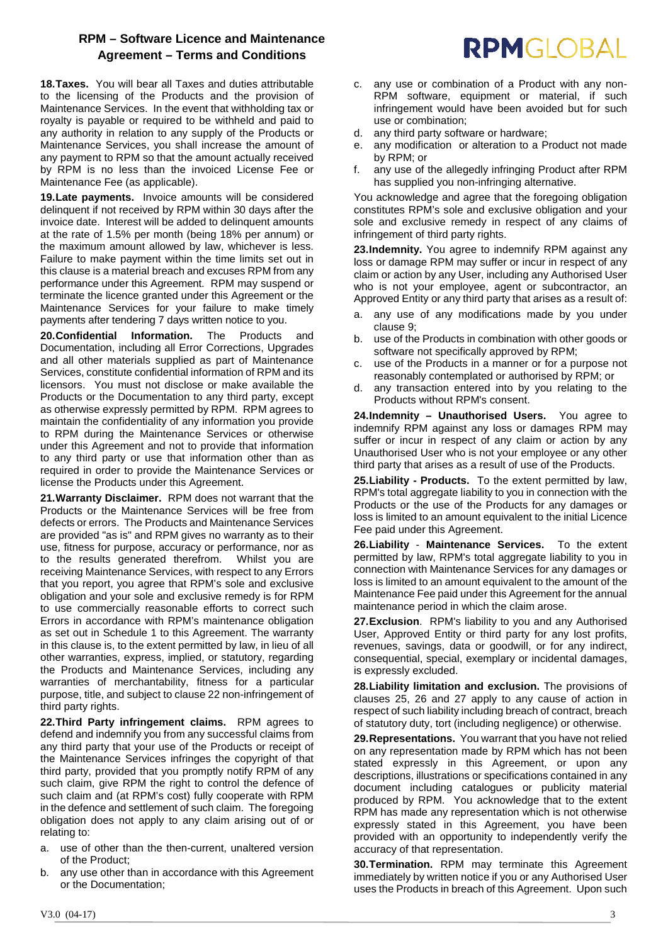**18.Taxes.** You will bear all Taxes and duties attributable to the licensing of the Products and the provision of Maintenance Services. In the event that withholding tax or royalty is payable or required to be withheld and paid to any authority in relation to any supply of the Products or Maintenance Services, you shall increase the amount of any payment to RPM so that the amount actually received by RPM is no less than the invoiced License Fee or Maintenance Fee (as applicable).

**19.Late payments.** Invoice amounts will be considered delinquent if not received by RPM within 30 days after the invoice date. Interest will be added to delinquent amounts at the rate of 1.5% per month (being 18% per annum) or the maximum amount allowed by law, whichever is less. Failure to make payment within the time limits set out in this clause is a material breach and excuses RPM from any performance under this Agreement. RPM may suspend or terminate the licence granted under this Agreement or the Maintenance Services for your failure to make timely payments after tendering 7 days written notice to you.

**20.Confidential Information.** The Products and Documentation, including all Error Corrections, Upgrades and all other materials supplied as part of Maintenance Services, constitute confidential information of RPM and its licensors. You must not disclose or make available the Products or the Documentation to any third party, except as otherwise expressly permitted by RPM. RPM agrees to maintain the confidentiality of any information you provide to RPM during the Maintenance Services or otherwise under this Agreement and not to provide that information to any third party or use that information other than as required in order to provide the Maintenance Services or license the Products under this Agreement.

**21.Warranty Disclaimer.** RPM does not warrant that the Products or the Maintenance Services will be free from defects or errors. The Products and Maintenance Services are provided "as is" and RPM gives no warranty as to their use, fitness for purpose, accuracy or performance, nor as to the results generated therefrom. Whilst you are receiving Maintenance Services, with respect to any Errors that you report, you agree that RPM's sole and exclusive obligation and your sole and exclusive remedy is for RPM to use commercially reasonable efforts to correct such Errors in accordance with RPM's maintenance obligation as set out in Schedule 1 to this Agreement. The warranty in this clause is, to the extent permitted by law, in lieu of all other warranties, express, implied, or statutory, regarding the Products and Maintenance Services, including any warranties of merchantability, fitness for a particular purpose, title, and subject to claus[e 22](#page-2-1) non-infringement of third party rights.

<span id="page-2-1"></span>**22.Third Party infringement claims.** RPM agrees to defend and indemnify you from any successful claims from any third party that your use of the Products or receipt of the Maintenance Services infringes the copyright of that third party, provided that you promptly notify RPM of any such claim, give RPM the right to control the defence of such claim and (at RPM's cost) fully cooperate with RPM in the defence and settlement of such claim. The foregoing obligation does not apply to any claim arising out of or relating to:

- a. use of other than the then-current, unaltered version of the Product;
- b. any use other than in accordance with this Agreement or the Documentation;
- RPMGLOBAL
- c. any use or combination of a Product with any non-RPM software, equipment or material, if such infringement would have been avoided but for such use or combination;
- d. any third party software or hardware;
- e. any modification or alteration to a Product not made by RPM; or
- f. any use of the allegedly infringing Product after RPM has supplied you non-infringing alternative.

You acknowledge and agree that the foregoing obligation constitutes RPM's sole and exclusive obligation and your sole and exclusive remedy in respect of any claims of infringement of third party rights.

**23.Indemnity.** You agree to indemnify RPM against any loss or damage RPM may suffer or incur in respect of any claim or action by any User, including any Authorised User who is not your employee, agent or subcontractor, an Approved Entity or any third party that arises as a result of:

- a. any use of any modifications made by you under claus[e 9;](#page-1-0)
- b. use of the Products in combination with other goods or software not specifically approved by RPM;
- c. use of the Products in a manner or for a purpose not reasonably contemplated or authorised by RPM; or
- d. any transaction entered into by you relating to the Products without RPM's consent.

**24.Indemnity – Unauthorised Users.** You agree to indemnify RPM against any loss or damages RPM may suffer or incur in respect of any claim or action by any Unauthorised User who is not your employee or any other third party that arises as a result of use of the Products.

**25.Liability - Products.** To the extent permitted by law, RPM's total aggregate liability to you in connection with the Products or the use of the Products for any damages or loss is limited to an amount equivalent to the initial Licence Fee paid under this Agreement.

**26.Liability** - **Maintenance Services.** To the extent permitted by law, RPM's total aggregate liability to you in connection with Maintenance Services for any damages or loss is limited to an amount equivalent to the amount of the Maintenance Fee paid under this Agreement for the annual maintenance period in which the claim arose.

**27.Exclusion**. RPM's liability to you and any Authorised User, Approved Entity or third party for any lost profits, revenues, savings, data or goodwill, or for any indirect, consequential, special, exemplary or incidental damages, is expressly excluded.

**28.Liability limitation and exclusion.** The provisions of clauses 25, 26 and 27 apply to any cause of action in respect of such liability including breach of contract, breach of statutory duty, tort (including negligence) or otherwise.

**29.Representations.** You warrant that you have not relied on any representation made by RPM which has not been stated expressly in this Agreement, or upon any descriptions, illustrations or specifications contained in any document including catalogues or publicity material produced by RPM. You acknowledge that to the extent RPM has made any representation which is not otherwise expressly stated in this Agreement, you have been provided with an opportunity to independently verify the accuracy of that representation.

<span id="page-2-0"></span>**30.Termination.** RPM may terminate this Agreement immediately by written notice if you or any Authorised User uses the Products in breach of this Agreement. Upon such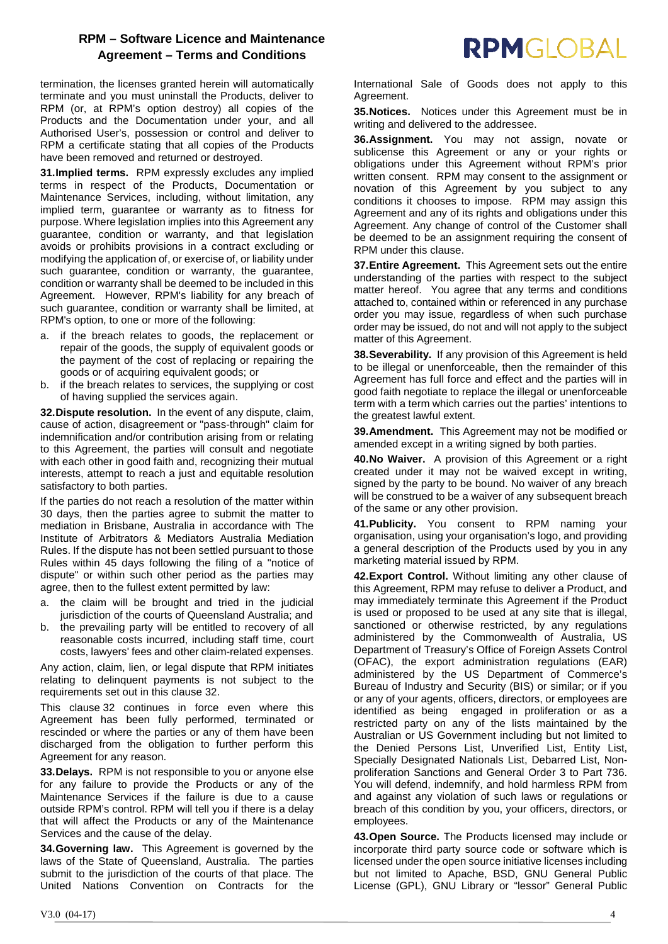termination, the licenses granted herein will automatically terminate and you must uninstall the Products, deliver to RPM (or, at RPM's option destroy) all copies of the Products and the Documentation under your, and all Authorised User's, possession or control and deliver to RPM a certificate stating that all copies of the Products have been removed and returned or destroyed.

**31.Implied terms.** RPM expressly excludes any implied terms in respect of the Products, Documentation or Maintenance Services, including, without limitation, any implied term, guarantee or warranty as to fitness for purpose. Where legislation implies into this Agreement any guarantee, condition or warranty, and that legislation avoids or prohibits provisions in a contract excluding or modifying the application of, or exercise of, or liability under such guarantee, condition or warranty, the guarantee, condition or warranty shall be deemed to be included in this Agreement. However, RPM's liability for any breach of such guarantee, condition or warranty shall be limited, at RPM's option, to one or more of the following:

- a. if the breach relates to goods, the replacement or repair of the goods, the supply of equivalent goods or the payment of the cost of replacing or repairing the goods or of acquiring equivalent goods; or
- b. if the breach relates to services, the supplying or cost of having supplied the services again.

<span id="page-3-0"></span>**32.Dispute resolution.** In the event of any dispute, claim, cause of action, disagreement or "pass-through" claim for indemnification and/or contribution arising from or relating to this Agreement, the parties will consult and negotiate with each other in good faith and, recognizing their mutual interests, attempt to reach a just and equitable resolution satisfactory to both parties.

If the parties do not reach a resolution of the matter within 30 days, then the parties agree to submit the matter to mediation in Brisbane, Australia in accordance with The Institute of Arbitrators & Mediators Australia Mediation Rules. If the dispute has not been settled pursuant to those Rules within 45 days following the filing of a "notice of dispute" or within such other period as the parties may agree, then to the fullest extent permitted by law:

- a. the claim will be brought and tried in the judicial jurisdiction of the courts of Queensland Australia; and
- b. the prevailing party will be entitled to recovery of all reasonable costs incurred, including staff time, court costs, lawyers' fees and other claim-related expenses.

Any action, claim, lien, or legal dispute that RPM initiates relating to delinquent payments is not subject to the requirements set out in this clause [32.](#page-3-0)

This clause [32](#page-3-0) continues in force even where this Agreement has been fully performed, terminated or rescinded or where the parties or any of them have been discharged from the obligation to further perform this Agreement for any reason.

**33.Delays.** RPM is not responsible to you or anyone else for any failure to provide the Products or any of the Maintenance Services if the failure is due to a cause outside RPM's control. RPM will tell you if there is a delay that will affect the Products or any of the Maintenance Services and the cause of the delay.

**34.Governing law.** This Agreement is governed by the laws of the State of Queensland, Australia. The parties submit to the jurisdiction of the courts of that place. The United Nations Convention on Contracts for the International Sale of Goods does not apply to this Agreement.

RPMGLOBAL

**35.Notices.** Notices under this Agreement must be in writing and delivered to the addressee.

**36.Assignment.** You may not assign, novate or sublicense this Agreement or any or your rights or obligations under this Agreement without RPM's prior written consent. RPM may consent to the assignment or novation of this Agreement by you subject to any conditions it chooses to impose. RPM may assign this Agreement and any of its rights and obligations under this Agreement. Any change of control of the Customer shall be deemed to be an assignment requiring the consent of RPM under this clause.

**37.Entire Agreement.** This Agreement sets out the entire understanding of the parties with respect to the subject matter hereof. You agree that any terms and conditions attached to, contained within or referenced in any purchase order you may issue, regardless of when such purchase order may be issued, do not and will not apply to the subject matter of this Agreement.

**38.Severability.** If any provision of this Agreement is held to be illegal or unenforceable, then the remainder of this Agreement has full force and effect and the parties will in good faith negotiate to replace the illegal or unenforceable term with a term which carries out the parties' intentions to the greatest lawful extent.

**39.Amendment.** This Agreement may not be modified or amended except in a writing signed by both parties.

**40.No Waiver.** A provision of this Agreement or a right created under it may not be waived except in writing, signed by the party to be bound. No waiver of any breach will be construed to be a waiver of any subsequent breach of the same or any other provision.

**41.Publicity.** You consent to RPM naming your organisation, using your organisation's logo, and providing a general description of the Products used by you in any marketing material issued by RPM.

**42.Export Control.** Without limiting any other clause of this Agreement, RPM may refuse to deliver a Product, and may immediately terminate this Agreement if the Product is used or proposed to be used at any site that is illegal, sanctioned or otherwise restricted, by any regulations administered by the Commonwealth of Australia, US Department of Treasury's Office of Foreign Assets Control (OFAC), the export administration regulations (EAR) administered by the US Department of Commerce's Bureau of Industry and Security (BIS) or similar; or if you or any of your agents, officers, directors, or employees are identified as being engaged in proliferation or as a restricted party on any of the lists maintained by the Australian or US Government including but not limited to the Denied Persons List, Unverified List, Entity List, Specially Designated Nationals List, Debarred List, Nonproliferation Sanctions and General Order 3 to Part 736. You will defend, indemnify, and hold harmless RPM from and against any violation of such laws or regulations or breach of this condition by you, your officers, directors, or employees.

**43.Open Source.** The Products licensed may include or incorporate third party source code or software which is licensed under the open source initiative licenses including but not limited to Apache, BSD, GNU General Public License (GPL), GNU Library or "lessor" General Public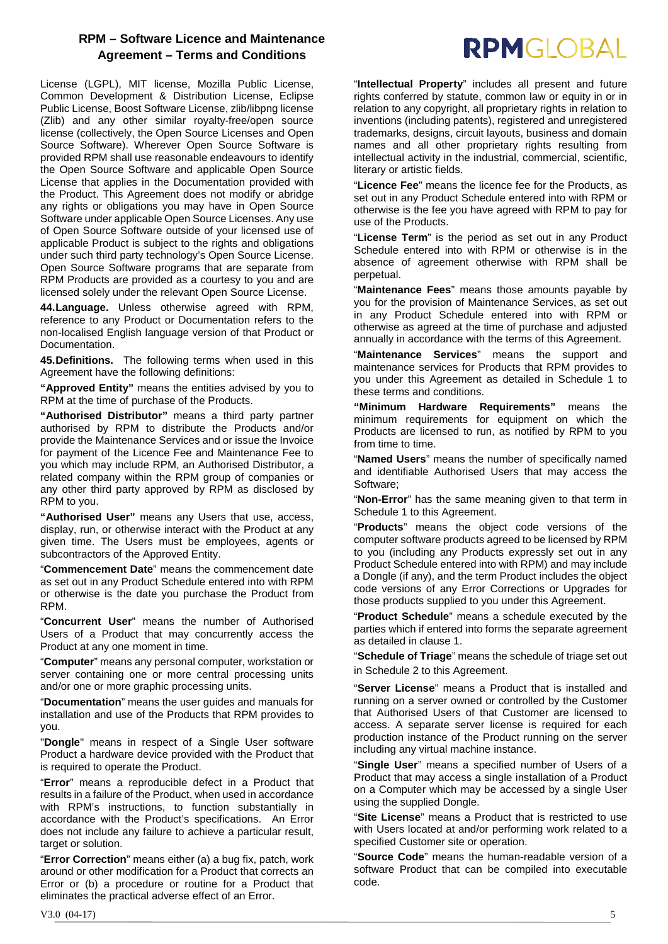License (LGPL), MIT license, Mozilla Public License, Common Development & Distribution License, Eclipse Public License, Boost Software License, zlib/libpng license (Zlib) and any other similar royalty-free/open source license (collectively, the Open Source Licenses and Open Source Software). Wherever Open Source Software is provided RPM shall use reasonable endeavours to identify the Open Source Software and applicable Open Source License that applies in the Documentation provided with the Product. This Agreement does not modify or abridge any rights or obligations you may have in Open Source Software under applicable Open Source Licenses. Any use of Open Source Software outside of your licensed use of applicable Product is subject to the rights and obligations under such third party technology's Open Source License. Open Source Software programs that are separate from RPM Products are provided as a courtesy to you and are licensed solely under the relevant Open Source License.

**44.Language.** Unless otherwise agreed with RPM, reference to any Product or Documentation refers to the non-localised English language version of that Product or **Documentation** 

**45.Definitions.** The following terms when used in this Agreement have the following definitions:

**"Approved Entity"** means the entities advised by you to RPM at the time of purchase of the Products.

**"Authorised Distributor"** means a third party partner authorised by RPM to distribute the Products and/or provide the Maintenance Services and or issue the Invoice for payment of the Licence Fee and Maintenance Fee to you which may include RPM, an Authorised Distributor, a related company within the RPM group of companies or any other third party approved by RPM as disclosed by RPM to you.

**"Authorised User"** means any Users that use, access, display, run, or otherwise interact with the Product at any given time. The Users must be employees, agents or subcontractors of the Approved Entity.

"**Commencement Date**" means the commencement date as set out in any Product Schedule entered into with RPM or otherwise is the date you purchase the Product from RPM.

"**Concurrent User**" means the number of Authorised Users of a Product that may concurrently access the Product at any one moment in time.

"**Computer**" means any personal computer, workstation or server containing one or more central processing units and/or one or more graphic processing units.

"**Documentation**" means the user guides and manuals for installation and use of the Products that RPM provides to you.

"**Dongle**" means in respect of a Single User software Product a hardware device provided with the Product that is required to operate the Product.

"**Error**" means a reproducible defect in a Product that results in a failure of the Product, when used in accordance with RPM's instructions, to function substantially in accordance with the Product's specifications. An Error does not include any failure to achieve a particular result, target or solution.

"**Error Correction**" means either (a) a bug fix, patch, work around or other modification for a Product that corrects an Error or (b) a procedure or routine for a Product that eliminates the practical adverse effect of an Error.

# **RPMGLOBAL**

"**Intellectual Property**" includes all present and future rights conferred by statute, common law or equity in or in relation to any copyright, all proprietary rights in relation to inventions (including patents), registered and unregistered trademarks, designs, circuit layouts, business and domain names and all other proprietary rights resulting from intellectual activity in the industrial, commercial, scientific, literary or artistic fields.

"**Licence Fee**" means the licence fee for the Products, as set out in any Product Schedule entered into with RPM or otherwise is the fee you have agreed with RPM to pay for use of the Products.

"**License Term**" is the period as set out in any Product Schedule entered into with RPM or otherwise is in the absence of agreement otherwise with RPM shall be perpetual.

"**Maintenance Fees**" means those amounts payable by you for the provision of Maintenance Services, as set out in any Product Schedule entered into with RPM or otherwise as agreed at the time of purchase and adjusted annually in accordance with the terms of this Agreement.

"**Maintenance Services**" means the support and maintenance services for Products that RPM provides to you under this Agreement as detailed in Schedule 1 to these terms and conditions.

**"Minimum Hardware Requirements"** means the minimum requirements for equipment on which the Products are licensed to run, as notified by RPM to you from time to time.

"**Named Users**" means the number of specifically named and identifiable Authorised Users that may access the Software;

"**Non-Error**" has the same meaning given to that term in Schedule 1 to this Agreement.

"**Products**" means the object code versions of the computer software products agreed to be licensed by RPM to you (including any Products expressly set out in any Product Schedule entered into with RPM) and may include a Dongle (if any), and the term Product includes the object code versions of any Error Corrections or Upgrades for those products supplied to you under this Agreement.

"**Product Schedule**" means a schedule executed by the parties which if entered into forms the separate agreement as detailed in clause [1.](#page-0-0)

"**Schedule of Triage**" means the schedule of triage set out in Schedule 2 to this Agreement.

"**Server License**" means a Product that is installed and running on a server owned or controlled by the Customer that Authorised Users of that Customer are licensed to access. A separate server license is required for each production instance of the Product running on the server including any virtual machine instance.

"**Single User**" means a specified number of Users of a Product that may access a single installation of a Product on a Computer which may be accessed by a single User using the supplied Dongle.

"**Site License**" means a Product that is restricted to use with Users located at and/or performing work related to a specified Customer site or operation.

"**Source Code**" means the human-readable version of a software Product that can be compiled into executable code.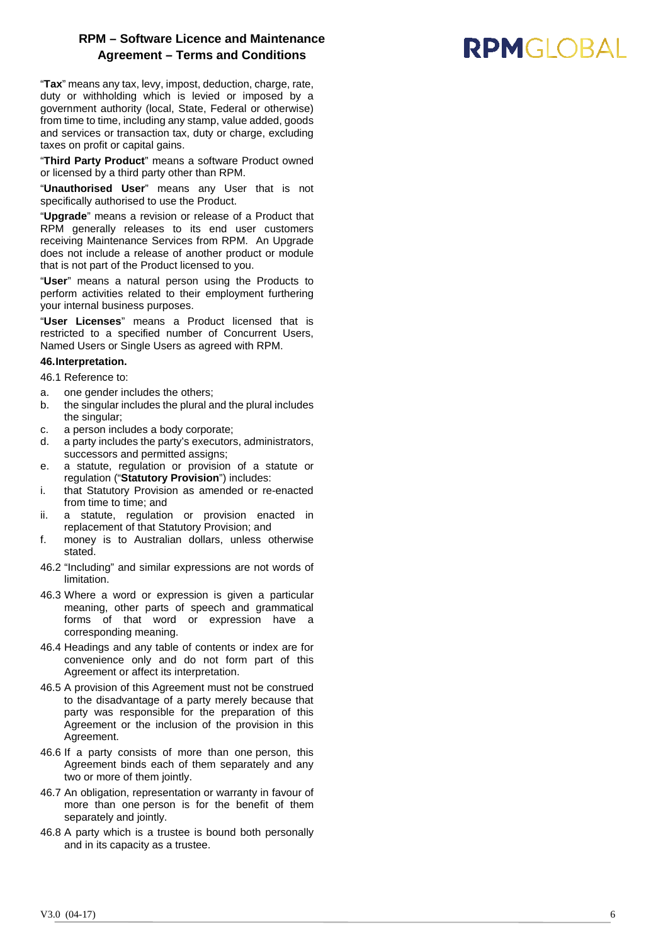"**Tax**" means any tax, levy, impost, deduction, charge, rate, duty or withholding which is levied or imposed by a government authority (local, State, Federal or otherwise) from time to time, including any stamp, value added, goods and services or transaction tax, duty or charge, excluding taxes on profit or capital gains.

"**Third Party Product**" means a software Product owned or licensed by a third party other than RPM.

"**Unauthorised User**" means any User that is not specifically authorised to use the Product.

"**Upgrade**" means a revision or release of a Product that RPM generally releases to its end user customers receiving Maintenance Services from RPM. An Upgrade does not include a release of another product or module that is not part of the Product licensed to you .

"**User**" means a natural person using the Products to perform activities related to their employment furthering<br>your internal business purposes.

"User Licenses" means a Product licensed that is restricted to a specified number of Concurrent Users, Named Users or Single Users as agreed with RPM.

### <span id="page-5-0"></span>**46.Interpretation.** 46.1 Reference to:

- a. one gender includes the others;
- b. the singular includes the plural and the plural includes the singular;
- c. a person includes a body corporate;
- d. a party includes the party's executors, administrators, successors and permitted assigns;
- e. a statute, regulation or provision of a statute or regulation ( "**Statutory Provision** ") includes:
- i. that Statutory Provision as amended or re -enacted from time to time; and
- ii. a statute, regulation or provision enacted in replacement of that Statutory Provision; and
- f. money is to Australian dollars, unless otherwise stated.
- 4 6.2 "Including" and similar expressions are not words of limitation.
- 4 6.3 Where a word or expression is given a particular meaning, other parts of speech and grammatical forms of that word or expression have a corresponding meaning.
- 4 6.4 Headings and any table of contents or index are for convenience only and do not form part of this Agreement or affect its interpretation.
- 4 6.5 A provision of this Agreement must not be construed to the disadvantage of a party merely because that party was responsible for the preparation of this Agreement or the inclusion of the provision in this Agreement .
- 4 6 . 6 If a party consists of more than one person, this Agreement binds each of them separately and any two or more of them jointly.
- 4 6 . 7 An obligation, representation or warranty in favour of more than one person is for the benefit of them separately and jointly.
- 4 6 . 8 A party which is a trustee is bound both personally and in its capacity as a trustee.

### **RPMGIOBAL**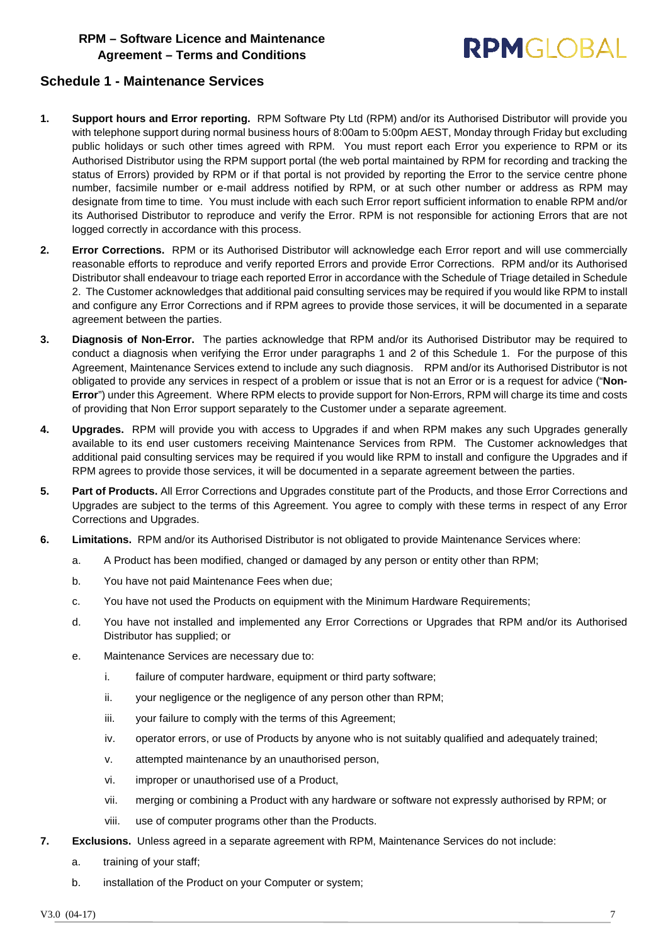## **RPMGIOBAL**

#### **Schedule 1 - Maintenance Services**

- <span id="page-6-0"></span>**1. Support hours and Error reporting.** RPM Software Pty Ltd (RPM) and/or its Authorised Distributor will provide you with telephone support during normal business hours of 8:00am to 5:00pm AEST, Monday through Friday but excluding public holidays or such other times agreed with RPM. You must report each Error you experience to RPM or its Authorised Distributor using the RPM support portal (the web portal maintained by RPM for recording and tracking the status of Errors) provided by RPM or if that portal is not provided by reporting the Error to the service centre phone number, facsimile number or e-mail address notified by RPM, or at such other number or address as RPM may designate from time to time. You must include with each such Error report sufficient information to enable RPM and/or its Authorised Distributor to reproduce and verify the Error. RPM is not responsible for actioning Errors that are not logged correctly in accordance with this process.
- <span id="page-6-1"></span>**2. Error Corrections.** RPM or its Authorised Distributor will acknowledge each Error report and will use commercially reasonable efforts to reproduce and verify reported Errors and provide Error Corrections. RPM and/or its Authorised Distributor shall endeavour to triage each reported Error in accordance with the Schedule of Triage detailed in Schedule 2. The Customer acknowledges that additional paid consulting services may be required if you would like RPM to install and configure any Error Corrections and if RPM agrees to provide those services, it will be documented in a separate agreement between the parties.
- **3. Diagnosis of Non-Error.** The parties acknowledge that RPM and/or its Authorised Distributor may be required to conduct a diagnosis when verifying the Error under paragraphs [1](#page-6-0) and [2](#page-6-1) of this Schedule 1. For the purpose of this Agreement, Maintenance Services extend to include any such diagnosis. RPM and/or its Authorised Distributor is not obligated to provide any services in respect of a problem or issue that is not an Error or is a request for advice ("**Non-Error**") under this Agreement. Where RPM elects to provide support for Non-Errors, RPM will charge its time and costs of providing that Non Error support separately to the Customer under a separate agreement.
- **4. Upgrades.** RPM will provide you with access to Upgrades if and when RPM makes any such Upgrades generally available to its end user customers receiving Maintenance Services from RPM. The Customer acknowledges that additional paid consulting services may be required if you would like RPM to install and configure the Upgrades and if RPM agrees to provide those services, it will be documented in a separate agreement between the parties.
- **5. Part of Products.** All Error Corrections and Upgrades constitute part of the Products, and those Error Corrections and Upgrades are subject to the terms of this Agreement. You agree to comply with these terms in respect of any Error Corrections and Upgrades.
- **6. Limitations.** RPM and/or its Authorised Distributor is not obligated to provide Maintenance Services where:
	- a. A Product has been modified, changed or damaged by any person or entity other than RPM;
	- b. You have not paid Maintenance Fees when due;
	- c. You have not used the Products on equipment with the Minimum Hardware Requirements;
	- d. You have not installed and implemented any Error Corrections or Upgrades that RPM and/or its Authorised Distributor has supplied; or
	- e. Maintenance Services are necessary due to:
		- i. failure of computer hardware, equipment or third party software;
		- ii. your negligence or the negligence of any person other than RPM;
		- iii. your failure to comply with the terms of this Agreement;
		- iv. operator errors, or use of Products by anyone who is not suitably qualified and adequately trained;
		- v. attempted maintenance by an unauthorised person,
		- vi. improper or unauthorised use of a Product,
		- vii. merging or combining a Product with any hardware or software not expressly authorised by RPM; or
		- viii. use of computer programs other than the Products.
- **7. Exclusions.** Unless agreed in a separate agreement with RPM, Maintenance Services do not include:
	- a. training of your staff;
	- b. installation of the Product on your Computer or system;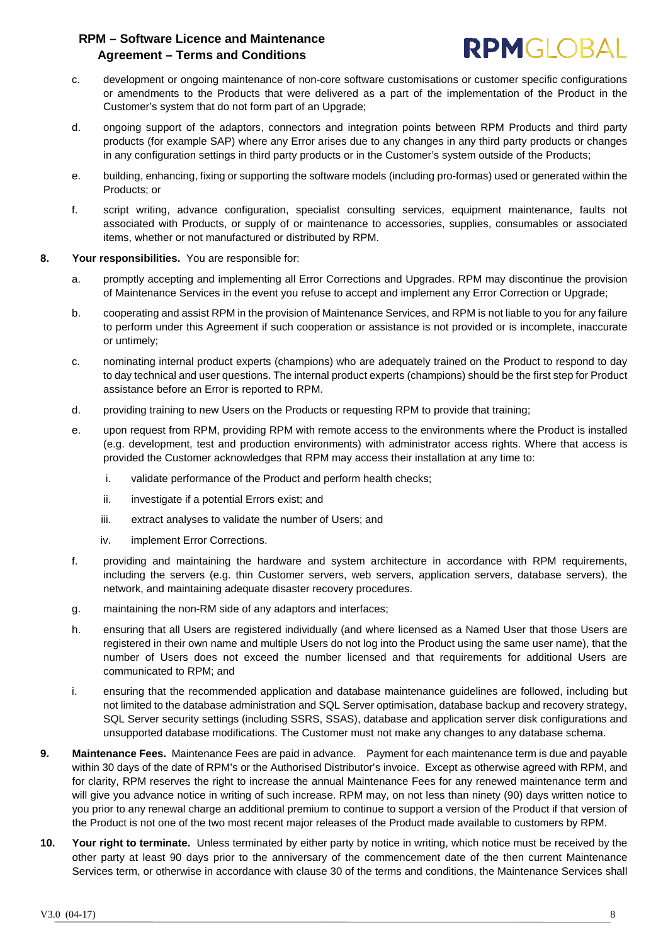

- c. development or ongoing maintenance of non-core software customisations or customer specific configurations or amendments to the Products that were delivered as a part of the implementation of the Product in the Customer's system that do not form part of an Upgrade;
- d. ongoing support of the adaptors, connectors and integration points between RPM Products and third party products (for example SAP) where any Error arises due to any changes in any third party products or changes in any configuration settings in third party products or in the Customer's system outside of the Products;
- e. building, enhancing, fixing or supporting the software models (including pro-formas) used or generated within the Products; or
- f. script writing, advance configuration, specialist consulting services, equipment maintenance, faults not associated with Products, or supply of or maintenance to accessories, supplies, consumables or associated items, whether or not manufactured or distributed by RPM.
- **8. Your responsibilities.** You are responsible for:
	- a. promptly accepting and implementing all Error Corrections and Upgrades. RPM may discontinue the provision of Maintenance Services in the event you refuse to accept and implement any Error Correction or Upgrade;
	- b. cooperating and assist RPM in the provision of Maintenance Services, and RPM is not liable to you for any failure to perform under this Agreement if such cooperation or assistance is not provided or is incomplete, inaccurate or untimely;
	- c. nominating internal product experts (champions) who are adequately trained on the Product to respond to day to day technical and user questions. The internal product experts (champions) should be the first step for Product assistance before an Error is reported to RPM.
	- d. providing training to new Users on the Products or requesting RPM to provide that training;
	- e. upon request from RPM, providing RPM with remote access to the environments where the Product is installed (e.g. development, test and production environments) with administrator access rights. Where that access is provided the Customer acknowledges that RPM may access their installation at any time to:
		- i. validate performance of the Product and perform health checks;
		- ii. investigate if a potential Errors exist; and
		- iii. extract analyses to validate the number of Users; and
		- iv. implement Error Corrections.
	- f. providing and maintaining the hardware and system architecture in accordance with RPM requirements, including the servers (e.g. thin Customer servers, web servers, application servers, database servers), the network, and maintaining adequate disaster recovery procedures.
	- g. maintaining the non-RM side of any adaptors and interfaces;
	- h. ensuring that all Users are registered individually (and where licensed as a Named User that those Users are registered in their own name and multiple Users do not log into the Product using the same user name), that the number of Users does not exceed the number licensed and that requirements for additional Users are communicated to RPM; and
	- i. ensuring that the recommended application and database maintenance guidelines are followed, including but not limited to the database administration and SQL Server optimisation, database backup and recovery strategy, SQL Server security settings (including SSRS, SSAS), database and application server disk configurations and unsupported database modifications. The Customer must not make any changes to any database schema.
- **9. Maintenance Fees.** Maintenance Fees are paid in advance. Payment for each maintenance term is due and payable within 30 days of the date of RPM's or the Authorised Distributor's invoice. Except as otherwise agreed with RPM, and for clarity, RPM reserves the right to increase the annual Maintenance Fees for any renewed maintenance term and will give you advance notice in writing of such increase. RPM may, on not less than ninety (90) days written notice to you prior to any renewal charge an additional premium to continue to support a version of the Product if that version of the Product is not one of the two most recent major releases of the Product made available to customers by RPM.
- **10. Your right to terminate.** Unless terminated by either party by notice in writing, which notice must be received by the other party at least 90 days prior to the anniversary of the commencement date of the then current Maintenance Services term, or otherwise in accordance with clause [30](#page-2-0) of the terms and conditions, the Maintenance Services shall